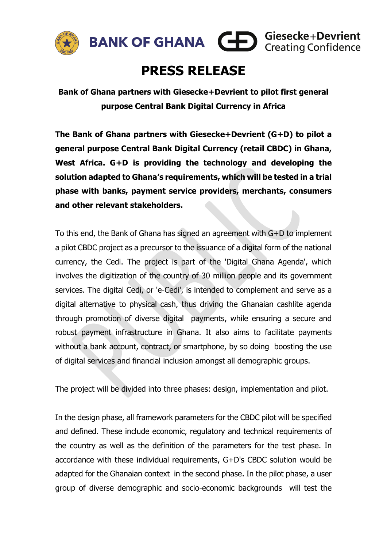



# **PRESS RELEASE**

**Bank of Ghana partners with Giesecke+Devrient to pilot first general purpose Central Bank Digital Currency in Africa** 

**The Bank of Ghana partners with Giesecke+Devrient (G+D) to pilot a general purpose Central Bank Digital Currency (retail CBDC) in Ghana, West Africa. G+D is providing the technology and developing the solution adapted to Ghana's requirements, which will be tested in a trial phase with banks, payment service providers, merchants, consumers and other relevant stakeholders.** 

To this end, the Bank of Ghana has signed an agreement with G+D to implement a pilot CBDC project as a precursor to the issuance of a digital form of the national currency, the Cedi. The project is part of the 'Digital Ghana Agenda', which involves the digitization of the country of 30 million people and its government services. The digital Cedi, or 'e-Cedi', is intended to complement and serve as a digital alternative to physical cash, thus driving the Ghanaian cashlite agenda through promotion of diverse digital payments, while ensuring a secure and robust payment infrastructure in Ghana. It also aims to facilitate payments without a bank account, contract, or smartphone, by so doing boosting the use of digital services and financial inclusion amongst all demographic groups.

The project will be divided into three phases: design, implementation and pilot.

In the design phase, all framework parameters for the CBDC pilot will be specified and defined. These include economic, regulatory and technical requirements of the country as well as the definition of the parameters for the test phase. In accordance with these individual requirements, G+D's CBDC solution would be adapted for the Ghanaian context in the second phase. In the pilot phase, a user group of diverse demographic and socio-economic backgrounds will test the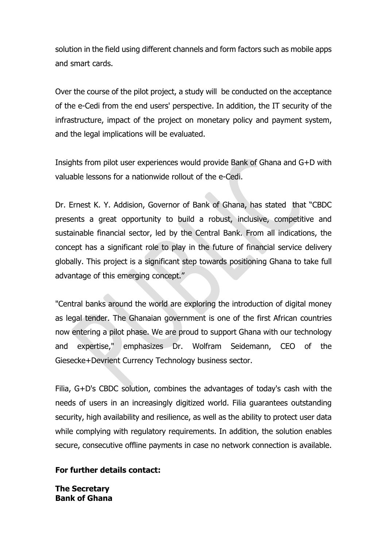solution in the field using different channels and form factors such as mobile apps and smart cards.

Over the course of the pilot project, a study will be conducted on the acceptance of the e-Cedi from the end users' perspective. In addition, the IT security of the infrastructure, impact of the project on monetary policy and payment system, and the legal implications will be evaluated.

Insights from pilot user experiences would provide Bank of Ghana and G+D with valuable lessons for a nationwide rollout of the e-Cedi.

Dr. Ernest K. Y. Addision, Governor of Bank of Ghana, has stated that "CBDC presents a great opportunity to build a robust, inclusive, competitive and sustainable financial sector, led by the Central Bank. From all indications, the concept has a significant role to play in the future of financial service delivery globally. This project is a significant step towards positioning Ghana to take full advantage of this emerging concept."

"Central banks around the world are exploring the introduction of digital money as legal tender. The Ghanaian government is one of the first African countries now entering a pilot phase. We are proud to support Ghana with our technology and expertise," emphasizes Dr. Wolfram Seidemann, CEO of the Giesecke+Devrient Currency Technology business sector.

Filia, G+D's CBDC solution, combines the advantages of today's cash with the needs of users in an increasingly digitized world. Filia guarantees outstanding security, high availability and resilience, as well as the ability to protect user data while complying with regulatory requirements. In addition, the solution enables secure, consecutive offline payments in case no network connection is available.

### **For further details contact:**

**The Secretary Bank of Ghana**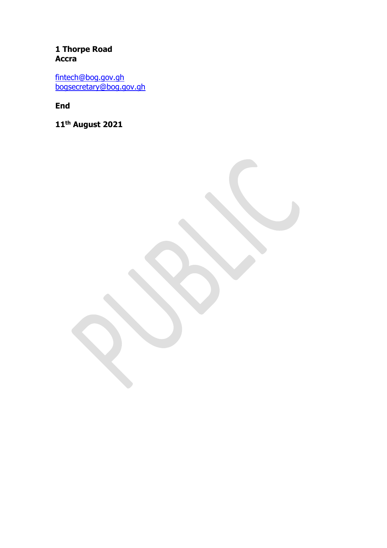## 1 Thorpe Road **Accra**

fintech@bog.gov.gh<br>bogsecretary@bog.gov.gh

**End** 

11<sup>th</sup> August 2021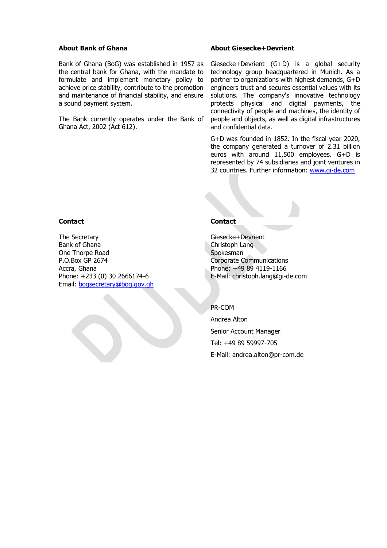#### **About Bank of Ghana**

Bank of Ghana (BoG) was established in 1957 as the central bank for Ghana, with the mandate to formulate and implement monetary policy to achieve price stability, contribute to the promotion and maintenance of financial stability, and ensure a sound payment system.

The Bank currently operates under the Bank of Ghana Act, 2002 (Act 612).

#### **About Giesecke+Devrient**

Giesecke+Devrient (G+D) is a global security technology group headquartered in Munich. As a partner to organizations with highest demands, G+D engineers trust and secures essential values with its solutions. The company's innovative technology protects physical and digital payments, the connectivity of people and machines, the identity of people and objects, as well as digital infrastructures and confidential data.

G+D was founded in 1852. In the fiscal year 2020, the company generated a turnover of 2.31 billion euros with around 11,500 employees. G+D is represented by 74 subsidiaries and joint ventures in 32 countries. Further information: [www.gi-de.com](http://www.gi-de.com/)

#### **Contact**

The Secretary Bank of Ghana One Thorpe Road P.O.Box GP 2674 Accra, Ghana Phone: +233 (0) 30 2666174-6 Email: [bogsecretary@bog.gov.gh](mailto:bogsecretary@bog.gov.gh)

#### **Contact**

Giesecke+Devrient Christoph Lang Spokesman Corporate Communications Phone: +49 89 4119-1166 E-Mail: [christoph.lang@gi-de.com](mailto:christoph.lang@gi-de.com)

#### PR-COM

Andrea Alton Senior Account Manager Tel: +49 89 59997-705 E-Mail: [andrea.alton@pr-com.de](mailto:eva.kia@pr-com.de)